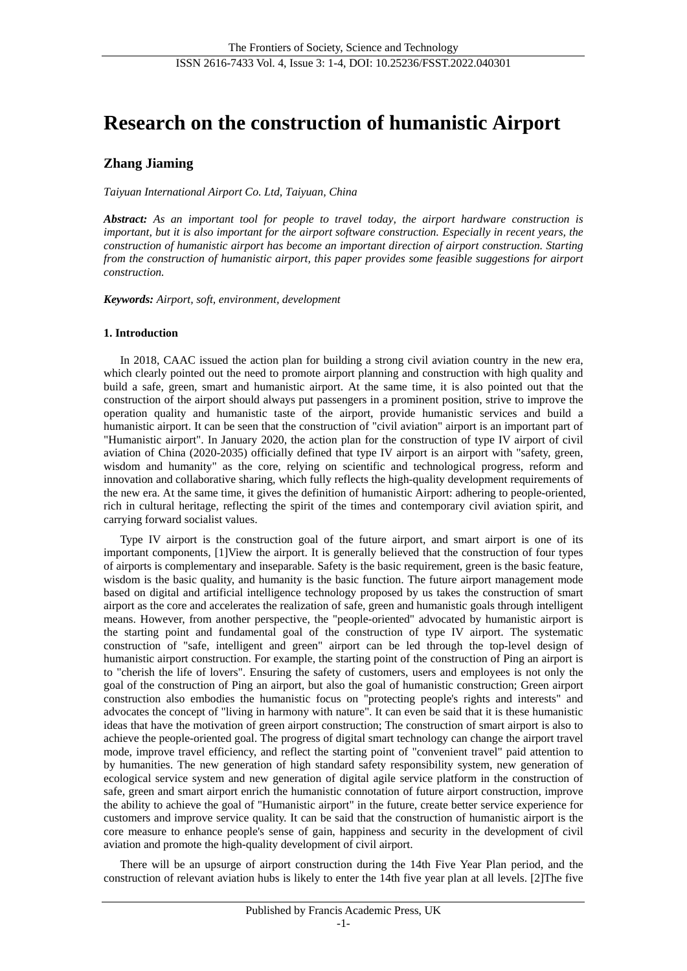# **Research on the construction of humanistic Airport**

# **Zhang Jiaming**

*Taiyuan International Airport Co. Ltd, Taiyuan, China*

*Abstract: As an important tool for people to travel today, the airport hardware construction is important, but it is also important for the airport software construction. Especially in recent years, the construction of humanistic airport has become an important direction of airport construction. Starting from the construction of humanistic airport, this paper provides some feasible suggestions for airport construction.*

*Keywords: Airport, soft, environment, development*

#### **1. Introduction**

In 2018, CAAC issued the action plan for building a strong civil aviation country in the new era, which clearly pointed out the need to promote airport planning and construction with high quality and build a safe, green, smart and humanistic airport. At the same time, it is also pointed out that the construction of the airport should always put passengers in a prominent position, strive to improve the operation quality and humanistic taste of the airport, provide humanistic services and build a humanistic airport. It can be seen that the construction of "civil aviation" airport is an important part of "Humanistic airport". In January 2020, the action plan for the construction of type IV airport of civil aviation of China (2020-2035) officially defined that type IV airport is an airport with "safety, green, wisdom and humanity" as the core, relying on scientific and technological progress, reform and innovation and collaborative sharing, which fully reflects the high-quality development requirements of the new era. At the same time, it gives the definition of humanistic Airport: adhering to people-oriented, rich in cultural heritage, reflecting the spirit of the times and contemporary civil aviation spirit, and carrying forward socialist values.

Type IV airport is the construction goal of the future airport, and smart airport is one of its important components, [1]View the airport. It is generally believed that the construction of four types of airports is complementary and inseparable. Safety is the basic requirement, green is the basic feature, wisdom is the basic quality, and humanity is the basic function. The future airport management mode based on digital and artificial intelligence technology proposed by us takes the construction of smart airport as the core and accelerates the realization of safe, green and humanistic goals through intelligent means. However, from another perspective, the "people-oriented" advocated by humanistic airport is the starting point and fundamental goal of the construction of type IV airport. The systematic construction of "safe, intelligent and green" airport can be led through the top-level design of humanistic airport construction. For example, the starting point of the construction of Ping an airport is to "cherish the life of lovers". Ensuring the safety of customers, users and employees is not only the goal of the construction of Ping an airport, but also the goal of humanistic construction; Green airport construction also embodies the humanistic focus on "protecting people's rights and interests" and advocates the concept of "living in harmony with nature". It can even be said that it is these humanistic ideas that have the motivation of green airport construction; The construction of smart airport is also to achieve the people-oriented goal. The progress of digital smart technology can change the airport travel mode, improve travel efficiency, and reflect the starting point of "convenient travel" paid attention to by humanities. The new generation of high standard safety responsibility system, new generation of ecological service system and new generation of digital agile service platform in the construction of safe, green and smart airport enrich the humanistic connotation of future airport construction, improve the ability to achieve the goal of "Humanistic airport" in the future, create better service experience for customers and improve service quality. It can be said that the construction of humanistic airport is the core measure to enhance people's sense of gain, happiness and security in the development of civil aviation and promote the high-quality development of civil airport.

There will be an upsurge of airport construction during the 14th Five Year Plan period, and the construction of relevant aviation hubs is likely to enter the 14th five year plan at all levels. [2]The five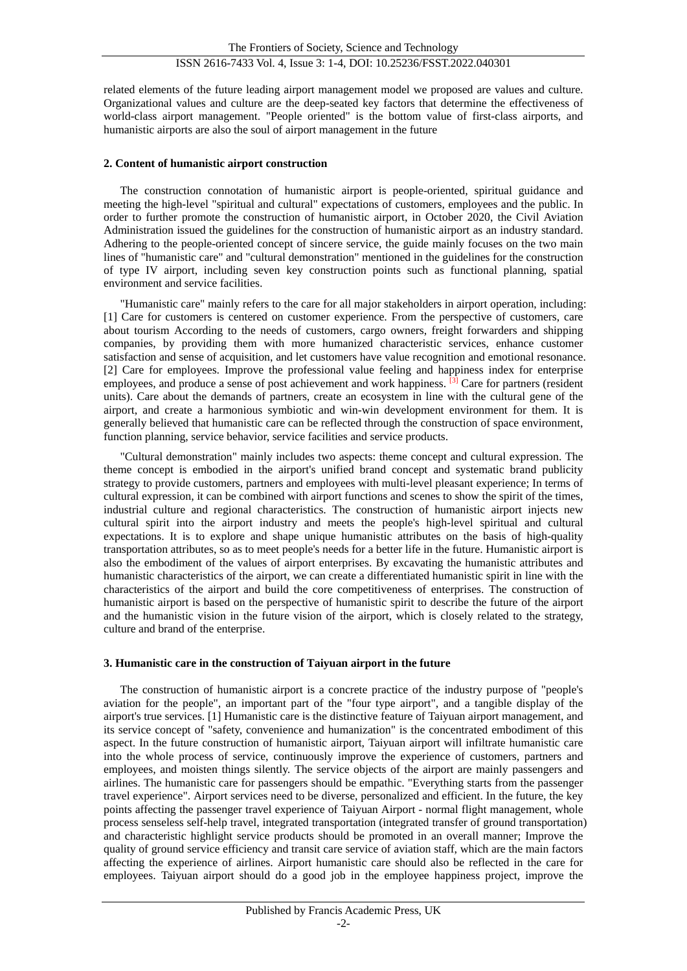related elements of the future leading airport management model we proposed are values and culture. Organizational values and culture are the deep-seated key factors that determine the effectiveness of world-class airport management. "People oriented" is the bottom value of first-class airports, and humanistic airports are also the soul of airport management in the future

#### **2. Content of humanistic airport construction**

The construction connotation of humanistic airport is people-oriented, spiritual guidance and meeting the high-level "spiritual and cultural" expectations of customers, employees and the public. In order to further promote the construction of humanistic airport, in October 2020, the Civil Aviation Administration issued the guidelines for the construction of humanistic airport as an industry standard. Adhering to the people-oriented concept of sincere service, the guide mainly focuses on the two main lines of "humanistic care" and "cultural demonstration" mentioned in the guidelines for the construction of type IV airport, including seven key construction points such as functional planning, spatial environment and service facilities.

"Humanistic care" mainly refers to the care for all major stakeholders in airport operation, including: [1] Care for customers is centered on customer experience. From the perspective of customers, care about tourism According to the needs of customers, cargo owners, freight forwarders and shipping companies, by providing them with more humanized characteristic services, enhance customer satisfaction and sense of acquisition, and let customers have value recognition and emotional resonance. [2] Care for employees. Improve the professional value feeling and happiness index for enterprise employees, and produce a sense of post achievement and work happiness. <sup>[3]</sup> Care for partners (resident units). Care about the demands of partners, create an ecosystem in line with the cultural gene of the airport, and create a harmonious symbiotic and win-win development environment for them. It is generally believed that humanistic care can be reflected through the construction of space environment, function planning, service behavior, service facilities and service products.

"Cultural demonstration" mainly includes two aspects: theme concept and cultural expression. The theme concept is embodied in the airport's unified brand concept and systematic brand publicity strategy to provide customers, partners and employees with multi-level pleasant experience; In terms of cultural expression, it can be combined with airport functions and scenes to show the spirit of the times, industrial culture and regional characteristics. The construction of humanistic airport injects new cultural spirit into the airport industry and meets the people's high-level spiritual and cultural expectations. It is to explore and shape unique humanistic attributes on the basis of high-quality transportation attributes, so as to meet people's needs for a better life in the future. Humanistic airport is also the embodiment of the values of airport enterprises. By excavating the humanistic attributes and humanistic characteristics of the airport, we can create a differentiated humanistic spirit in line with the characteristics of the airport and build the core competitiveness of enterprises. The construction of humanistic airport is based on the perspective of humanistic spirit to describe the future of the airport and the humanistic vision in the future vision of the airport, which is closely related to the strategy, culture and brand of the enterprise.

#### **3. Humanistic care in the construction of Taiyuan airport in the future**

The construction of humanistic airport is a concrete practice of the industry purpose of "people's aviation for the people", an important part of the "four type airport", and a tangible display of the airport's true services. [1] Humanistic care is the distinctive feature of Taiyuan airport management, and its service concept of "safety, convenience and humanization" is the concentrated embodiment of this aspect. In the future construction of humanistic airport, Taiyuan airport will infiltrate humanistic care into the whole process of service, continuously improve the experience of customers, partners and employees, and moisten things silently. The service objects of the airport are mainly passengers and airlines. The humanistic care for passengers should be empathic. "Everything starts from the passenger travel experience". Airport services need to be diverse, personalized and efficient. In the future, the key points affecting the passenger travel experience of Taiyuan Airport - normal flight management, whole process senseless self-help travel, integrated transportation (integrated transfer of ground transportation) and characteristic highlight service products should be promoted in an overall manner; Improve the quality of ground service efficiency and transit care service of aviation staff, which are the main factors affecting the experience of airlines. Airport humanistic care should also be reflected in the care for employees. Taiyuan airport should do a good job in the employee happiness project, improve the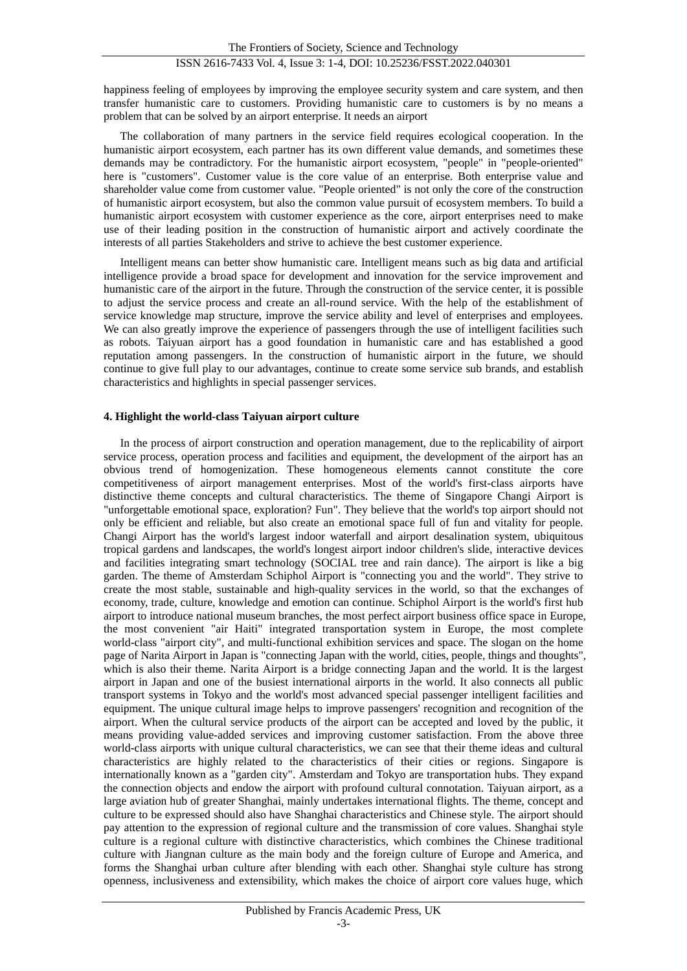happiness feeling of employees by improving the employee security system and care system, and then transfer humanistic care to customers. Providing humanistic care to customers is by no means a problem that can be solved by an airport enterprise. It needs an airport

The collaboration of many partners in the service field requires ecological cooperation. In the humanistic airport ecosystem, each partner has its own different value demands, and sometimes these demands may be contradictory. For the humanistic airport ecosystem, "people" in "people-oriented" here is "customers". Customer value is the core value of an enterprise. Both enterprise value and shareholder value come from customer value. "People oriented" is not only the core of the construction of humanistic airport ecosystem, but also the common value pursuit of ecosystem members. To build a humanistic airport ecosystem with customer experience as the core, airport enterprises need to make use of their leading position in the construction of humanistic airport and actively coordinate the interests of all parties Stakeholders and strive to achieve the best customer experience.

Intelligent means can better show humanistic care. Intelligent means such as big data and artificial intelligence provide a broad space for development and innovation for the service improvement and humanistic care of the airport in the future. Through the construction of the service center, it is possible to adjust the service process and create an all-round service. With the help of the establishment of service knowledge map structure, improve the service ability and level of enterprises and employees. We can also greatly improve the experience of passengers through the use of intelligent facilities such as robots. Taiyuan airport has a good foundation in humanistic care and has established a good reputation among passengers. In the construction of humanistic airport in the future, we should continue to give full play to our advantages, continue to create some service sub brands, and establish characteristics and highlights in special passenger services.

#### **4. Highlight the world-class Taiyuan airport culture**

In the process of airport construction and operation management, due to the replicability of airport service process, operation process and facilities and equipment, the development of the airport has an obvious trend of homogenization. These homogeneous elements cannot constitute the core competitiveness of airport management enterprises. Most of the world's first-class airports have distinctive theme concepts and cultural characteristics. The theme of Singapore Changi Airport is "unforgettable emotional space, exploration? Fun". They believe that the world's top airport should not only be efficient and reliable, but also create an emotional space full of fun and vitality for people. Changi Airport has the world's largest indoor waterfall and airport desalination system, ubiquitous tropical gardens and landscapes, the world's longest airport indoor children's slide, interactive devices and facilities integrating smart technology (SOCIAL tree and rain dance). The airport is like a big garden. The theme of Amsterdam Schiphol Airport is "connecting you and the world". They strive to create the most stable, sustainable and high-quality services in the world, so that the exchanges of economy, trade, culture, knowledge and emotion can continue. Schiphol Airport is the world's first hub airport to introduce national museum branches, the most perfect airport business office space in Europe, the most convenient "air Haiti" integrated transportation system in Europe, the most complete world-class "airport city", and multi-functional exhibition services and space. The slogan on the home page of Narita Airport in Japan is "connecting Japan with the world, cities, people, things and thoughts", which is also their theme. Narita Airport is a bridge connecting Japan and the world. It is the largest airport in Japan and one of the busiest international airports in the world. It also connects all public transport systems in Tokyo and the world's most advanced special passenger intelligent facilities and equipment. The unique cultural image helps to improve passengers' recognition and recognition of the airport. When the cultural service products of the airport can be accepted and loved by the public, it means providing value-added services and improving customer satisfaction. From the above three world-class airports with unique cultural characteristics, we can see that their theme ideas and cultural characteristics are highly related to the characteristics of their cities or regions. Singapore is internationally known as a "garden city". Amsterdam and Tokyo are transportation hubs. They expand the connection objects and endow the airport with profound cultural connotation. Taiyuan airport, as a large aviation hub of greater Shanghai, mainly undertakes international flights. The theme, concept and culture to be expressed should also have Shanghai characteristics and Chinese style. The airport should pay attention to the expression of regional culture and the transmission of core values. Shanghai style culture is a regional culture with distinctive characteristics, which combines the Chinese traditional culture with Jiangnan culture as the main body and the foreign culture of Europe and America, and forms the Shanghai urban culture after blending with each other. Shanghai style culture has strong openness, inclusiveness and extensibility, which makes the choice of airport core values huge, which